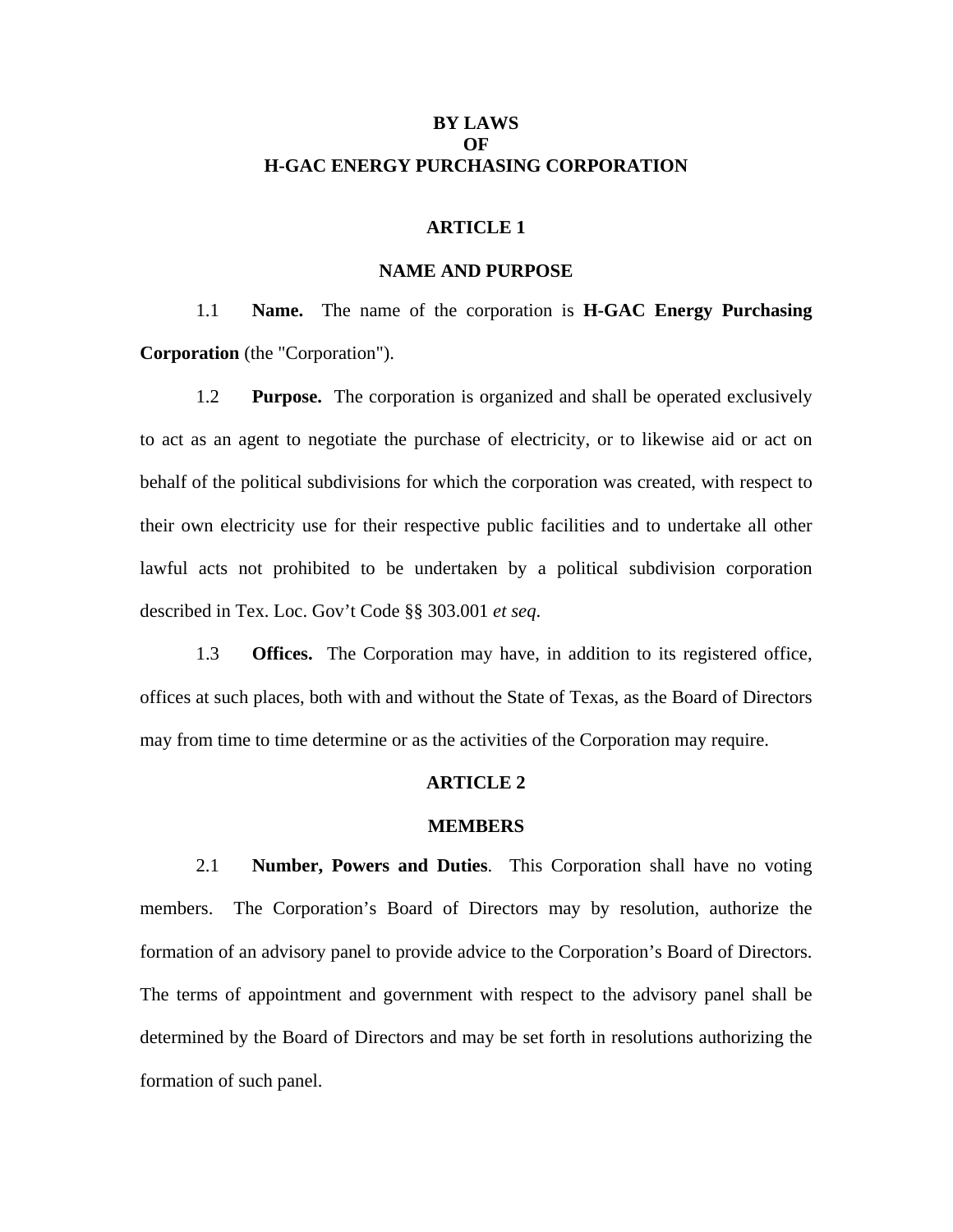# **BY LAWS**   $\Omega$ **F H-GAC ENERGY PURCHASING CORPORATION**

### **ARTICLE 1**

## **NAME AND PURPOSE**

1.1 **Name.** The name of the corporation is **H-GAC Energy Purchasing Corporation** (the "Corporation").

1.2 **Purpose.** The corporation is organized and shall be operated exclusively to act as an agent to negotiate the purchase of electricity, or to likewise aid or act on behalf of the political subdivisions for which the corporation was created, with respect to their own electricity use for their respective public facilities and to undertake all other lawful acts not prohibited to be undertaken by a political subdivision corporation described in Tex. Loc. Gov't Code §§ 303.001 *et seq*.

1.3 **Offices.** The Corporation may have, in addition to its registered office, offices at such places, both with and without the State of Texas, as the Board of Directors may from time to time determine or as the activities of the Corporation may require.

### **ARTICLE 2**

#### **MEMBERS**

2.1 **Number, Powers and Duties**. This Corporation shall have no voting members. The Corporation's Board of Directors may by resolution, authorize the formation of an advisory panel to provide advice to the Corporation's Board of Directors. The terms of appointment and government with respect to the advisory panel shall be determined by the Board of Directors and may be set forth in resolutions authorizing the formation of such panel.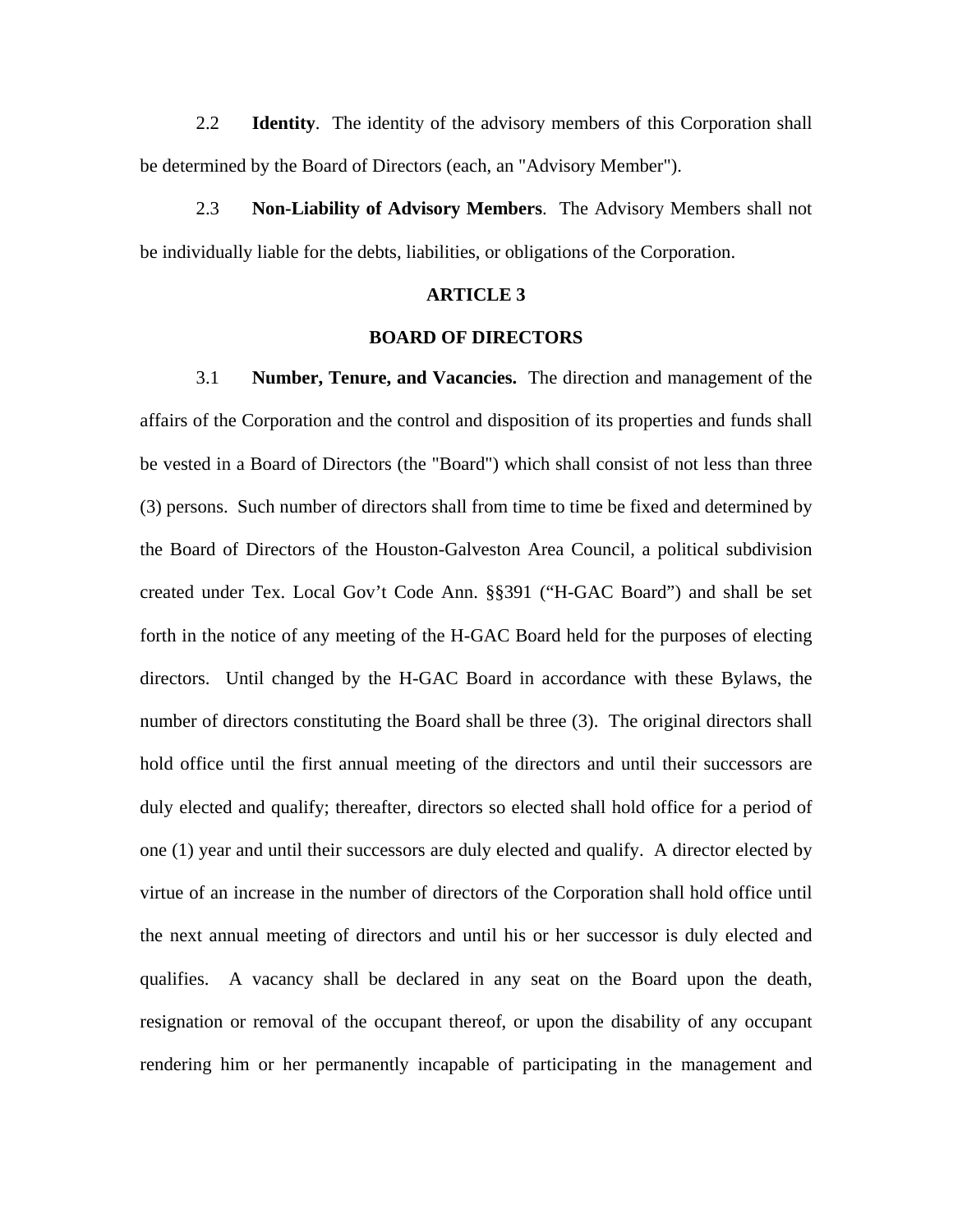2.2 **Identity**. The identity of the advisory members of this Corporation shall be determined by the Board of Directors (each, an "Advisory Member").

2.3 **Non-Liability of Advisory Members**. The Advisory Members shall not be individually liable for the debts, liabilities, or obligations of the Corporation.

# **ARTICLE 3**

### **BOARD OF DIRECTORS**

3.1 **Number, Tenure, and Vacancies.** The direction and management of the affairs of the Corporation and the control and disposition of its properties and funds shall be vested in a Board of Directors (the "Board") which shall consist of not less than three (3) persons. Such number of directors shall from time to time be fixed and determined by the Board of Directors of the Houston-Galveston Area Council, a political subdivision created under Tex. Local Gov't Code Ann. §§391 ("H-GAC Board") and shall be set forth in the notice of any meeting of the H-GAC Board held for the purposes of electing directors. Until changed by the H-GAC Board in accordance with these Bylaws, the number of directors constituting the Board shall be three (3). The original directors shall hold office until the first annual meeting of the directors and until their successors are duly elected and qualify; thereafter, directors so elected shall hold office for a period of one (1) year and until their successors are duly elected and qualify. A director elected by virtue of an increase in the number of directors of the Corporation shall hold office until the next annual meeting of directors and until his or her successor is duly elected and qualifies. A vacancy shall be declared in any seat on the Board upon the death, resignation or removal of the occupant thereof, or upon the disability of any occupant rendering him or her permanently incapable of participating in the management and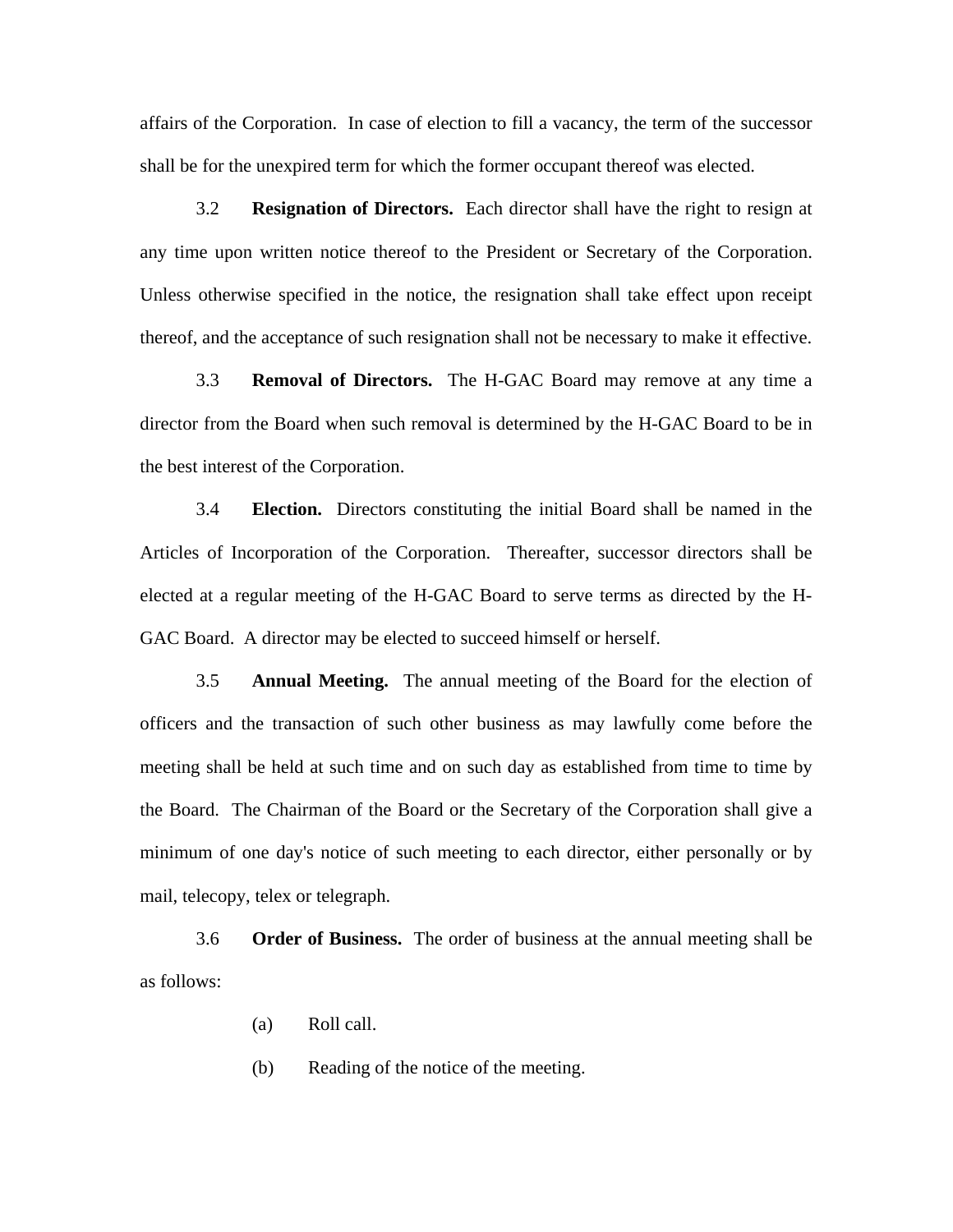affairs of the Corporation. In case of election to fill a vacancy, the term of the successor shall be for the unexpired term for which the former occupant thereof was elected.

3.2 **Resignation of Directors.** Each director shall have the right to resign at any time upon written notice thereof to the President or Secretary of the Corporation. Unless otherwise specified in the notice, the resignation shall take effect upon receipt thereof, and the acceptance of such resignation shall not be necessary to make it effective.

3.3 **Removal of Directors.** The H-GAC Board may remove at any time a director from the Board when such removal is determined by the H-GAC Board to be in the best interest of the Corporation.

3.4 **Election.** Directors constituting the initial Board shall be named in the Articles of Incorporation of the Corporation. Thereafter, successor directors shall be elected at a regular meeting of the H-GAC Board to serve terms as directed by the H-GAC Board. A director may be elected to succeed himself or herself.

3.5 **Annual Meeting.** The annual meeting of the Board for the election of officers and the transaction of such other business as may lawfully come before the meeting shall be held at such time and on such day as established from time to time by the Board. The Chairman of the Board or the Secretary of the Corporation shall give a minimum of one day's notice of such meeting to each director, either personally or by mail, telecopy, telex or telegraph.

3.6 **Order of Business.** The order of business at the annual meeting shall be as follows:

- (a) Roll call.
- (b) Reading of the notice of the meeting.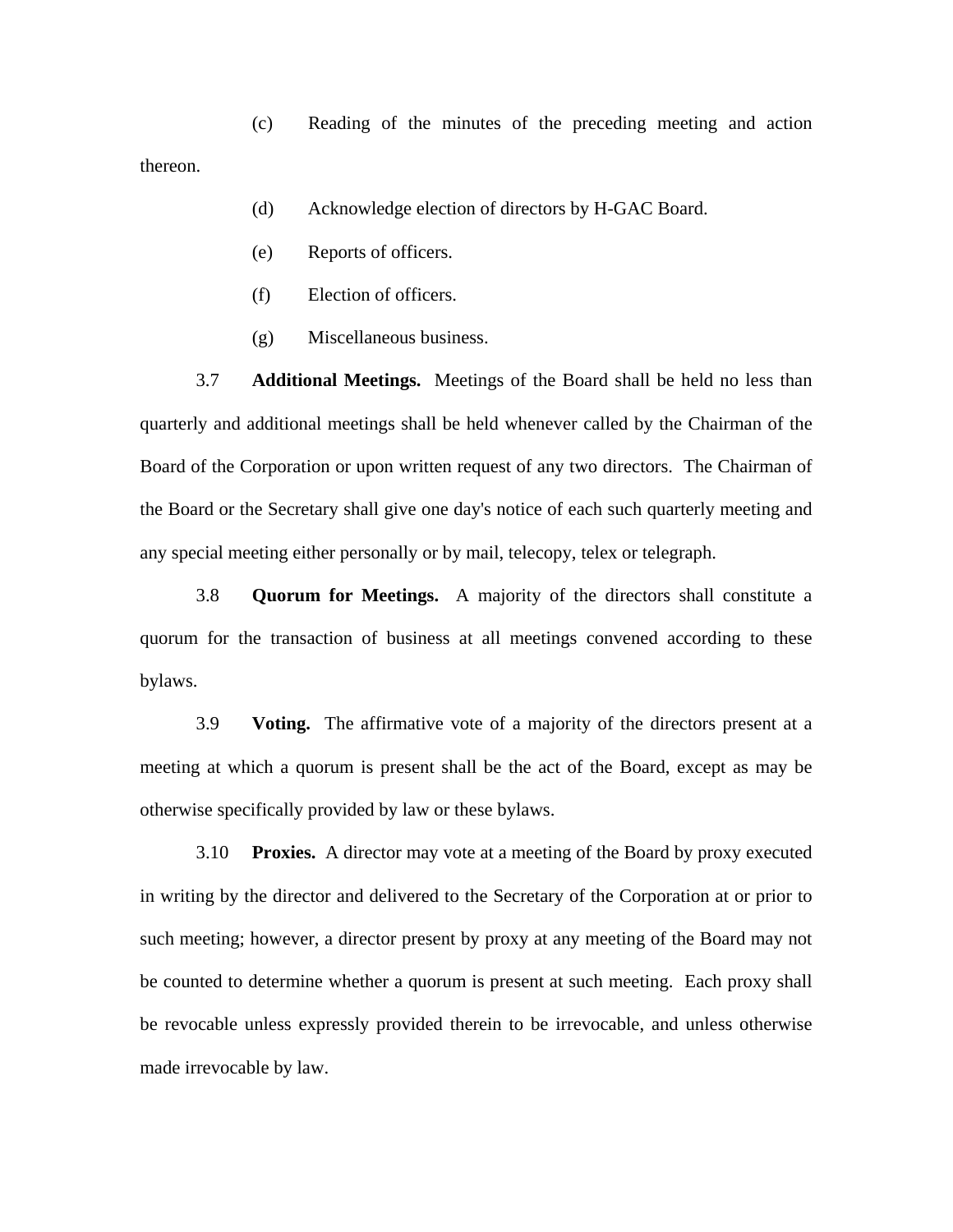(c) Reading of the minutes of the preceding meeting and action thereon.

- (d) Acknowledge election of directors by H-GAC Board.
- (e) Reports of officers.
- (f) Election of officers.
- (g) Miscellaneous business.

3.7 **Additional Meetings.** Meetings of the Board shall be held no less than quarterly and additional meetings shall be held whenever called by the Chairman of the Board of the Corporation or upon written request of any two directors. The Chairman of the Board or the Secretary shall give one day's notice of each such quarterly meeting and any special meeting either personally or by mail, telecopy, telex or telegraph.

3.8 **Quorum for Meetings.** A majority of the directors shall constitute a quorum for the transaction of business at all meetings convened according to these bylaws.

3.9 **Voting.** The affirmative vote of a majority of the directors present at a meeting at which a quorum is present shall be the act of the Board, except as may be otherwise specifically provided by law or these bylaws.

3.10 **Proxies.** A director may vote at a meeting of the Board by proxy executed in writing by the director and delivered to the Secretary of the Corporation at or prior to such meeting; however, a director present by proxy at any meeting of the Board may not be counted to determine whether a quorum is present at such meeting. Each proxy shall be revocable unless expressly provided therein to be irrevocable, and unless otherwise made irrevocable by law.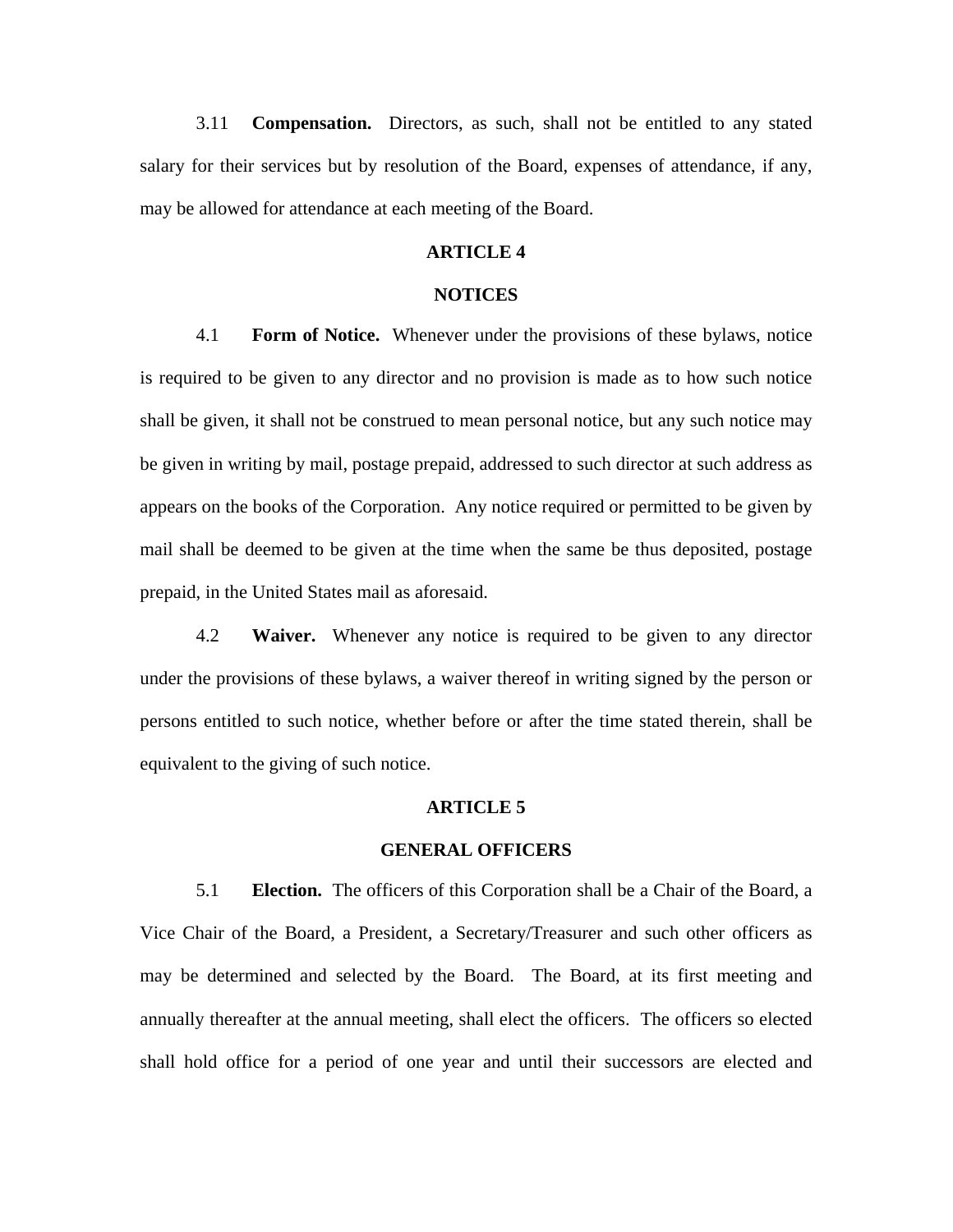3.11 **Compensation.** Directors, as such, shall not be entitled to any stated salary for their services but by resolution of the Board, expenses of attendance, if any, may be allowed for attendance at each meeting of the Board.

# **ARTICLE 4**

# **NOTICES**

4.1 **Form of Notice.** Whenever under the provisions of these bylaws, notice is required to be given to any director and no provision is made as to how such notice shall be given, it shall not be construed to mean personal notice, but any such notice may be given in writing by mail, postage prepaid, addressed to such director at such address as appears on the books of the Corporation. Any notice required or permitted to be given by mail shall be deemed to be given at the time when the same be thus deposited, postage prepaid, in the United States mail as aforesaid.

4.2 **Waiver.** Whenever any notice is required to be given to any director under the provisions of these bylaws, a waiver thereof in writing signed by the person or persons entitled to such notice, whether before or after the time stated therein, shall be equivalent to the giving of such notice.

#### **ARTICLE 5**

## **GENERAL OFFICERS**

5.1 **Election.** The officers of this Corporation shall be a Chair of the Board, a Vice Chair of the Board, a President, a Secretary/Treasurer and such other officers as may be determined and selected by the Board. The Board, at its first meeting and annually thereafter at the annual meeting, shall elect the officers. The officers so elected shall hold office for a period of one year and until their successors are elected and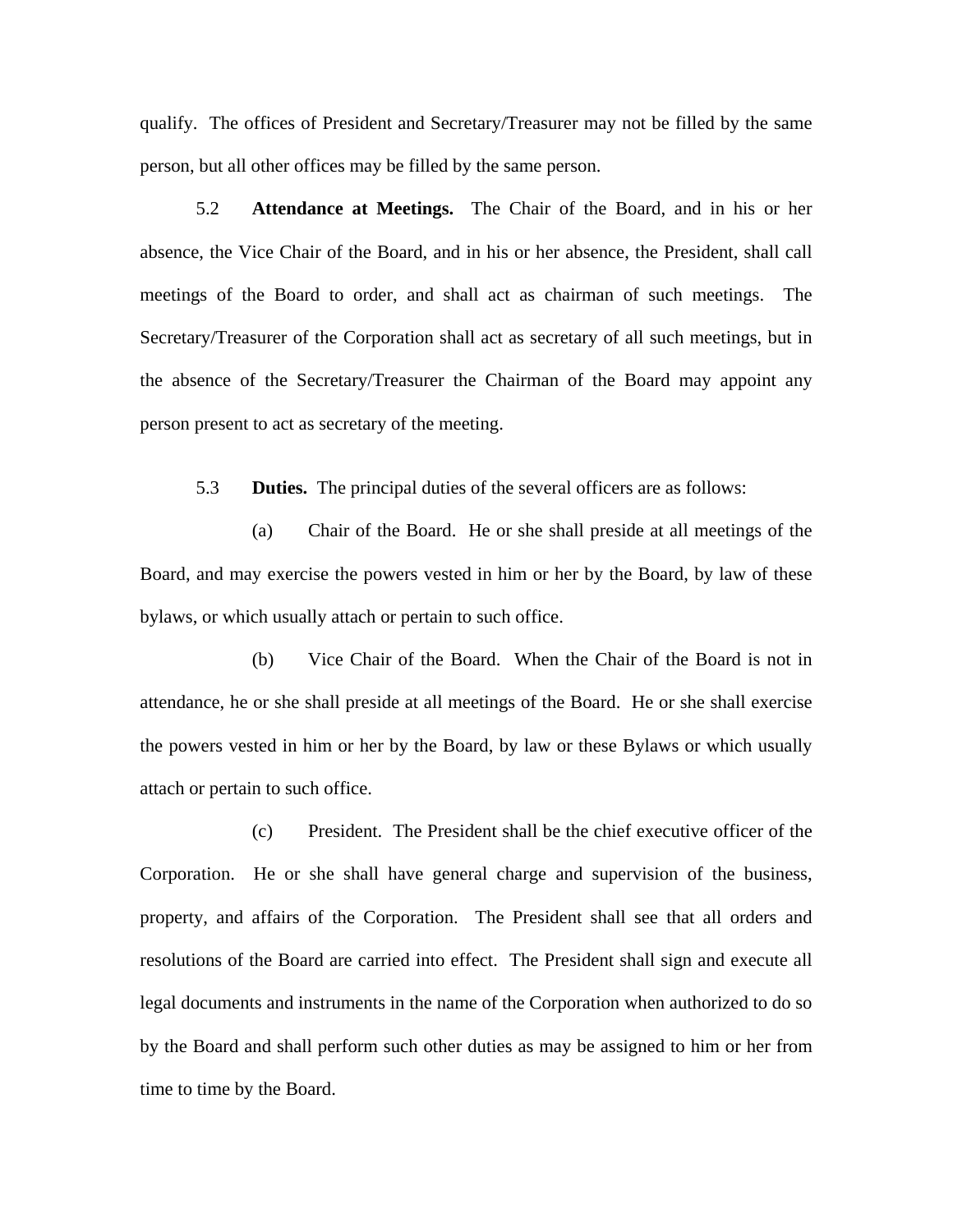qualify. The offices of President and Secretary/Treasurer may not be filled by the same person, but all other offices may be filled by the same person.

5.2 **Attendance at Meetings.** The Chair of the Board, and in his or her absence, the Vice Chair of the Board, and in his or her absence, the President, shall call meetings of the Board to order, and shall act as chairman of such meetings. The Secretary/Treasurer of the Corporation shall act as secretary of all such meetings, but in the absence of the Secretary/Treasurer the Chairman of the Board may appoint any person present to act as secretary of the meeting.

5.3 **Duties.** The principal duties of the several officers are as follows:

(a) Chair of the Board. He or she shall preside at all meetings of the Board, and may exercise the powers vested in him or her by the Board, by law of these bylaws, or which usually attach or pertain to such office.

(b) Vice Chair of the Board. When the Chair of the Board is not in attendance, he or she shall preside at all meetings of the Board. He or she shall exercise the powers vested in him or her by the Board, by law or these Bylaws or which usually attach or pertain to such office.

(c) President. The President shall be the chief executive officer of the Corporation. He or she shall have general charge and supervision of the business, property, and affairs of the Corporation. The President shall see that all orders and resolutions of the Board are carried into effect. The President shall sign and execute all legal documents and instruments in the name of the Corporation when authorized to do so by the Board and shall perform such other duties as may be assigned to him or her from time to time by the Board.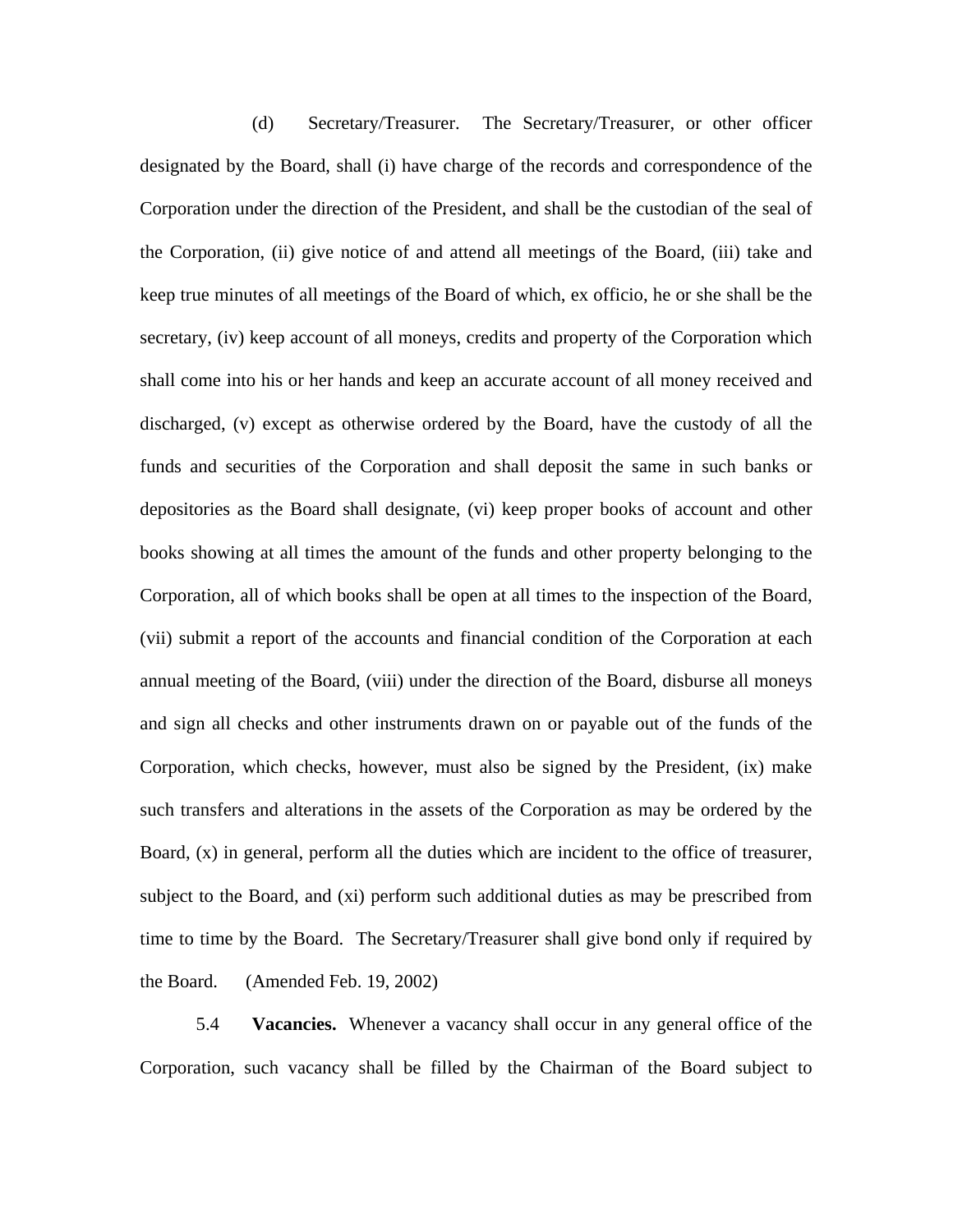(d) Secretary/Treasurer. The Secretary/Treasurer, or other officer designated by the Board, shall (i) have charge of the records and correspondence of the Corporation under the direction of the President, and shall be the custodian of the seal of the Corporation, (ii) give notice of and attend all meetings of the Board, (iii) take and keep true minutes of all meetings of the Board of which, ex officio, he or she shall be the secretary, (iv) keep account of all moneys, credits and property of the Corporation which shall come into his or her hands and keep an accurate account of all money received and discharged, (v) except as otherwise ordered by the Board, have the custody of all the funds and securities of the Corporation and shall deposit the same in such banks or depositories as the Board shall designate, (vi) keep proper books of account and other books showing at all times the amount of the funds and other property belonging to the Corporation, all of which books shall be open at all times to the inspection of the Board, (vii) submit a report of the accounts and financial condition of the Corporation at each annual meeting of the Board, (viii) under the direction of the Board, disburse all moneys and sign all checks and other instruments drawn on or payable out of the funds of the Corporation, which checks, however, must also be signed by the President, (ix) make such transfers and alterations in the assets of the Corporation as may be ordered by the Board, (x) in general, perform all the duties which are incident to the office of treasurer, subject to the Board, and (xi) perform such additional duties as may be prescribed from time to time by the Board. The Secretary/Treasurer shall give bond only if required by the Board. (Amended Feb. 19, 2002)

5.4 **Vacancies.** Whenever a vacancy shall occur in any general office of the Corporation, such vacancy shall be filled by the Chairman of the Board subject to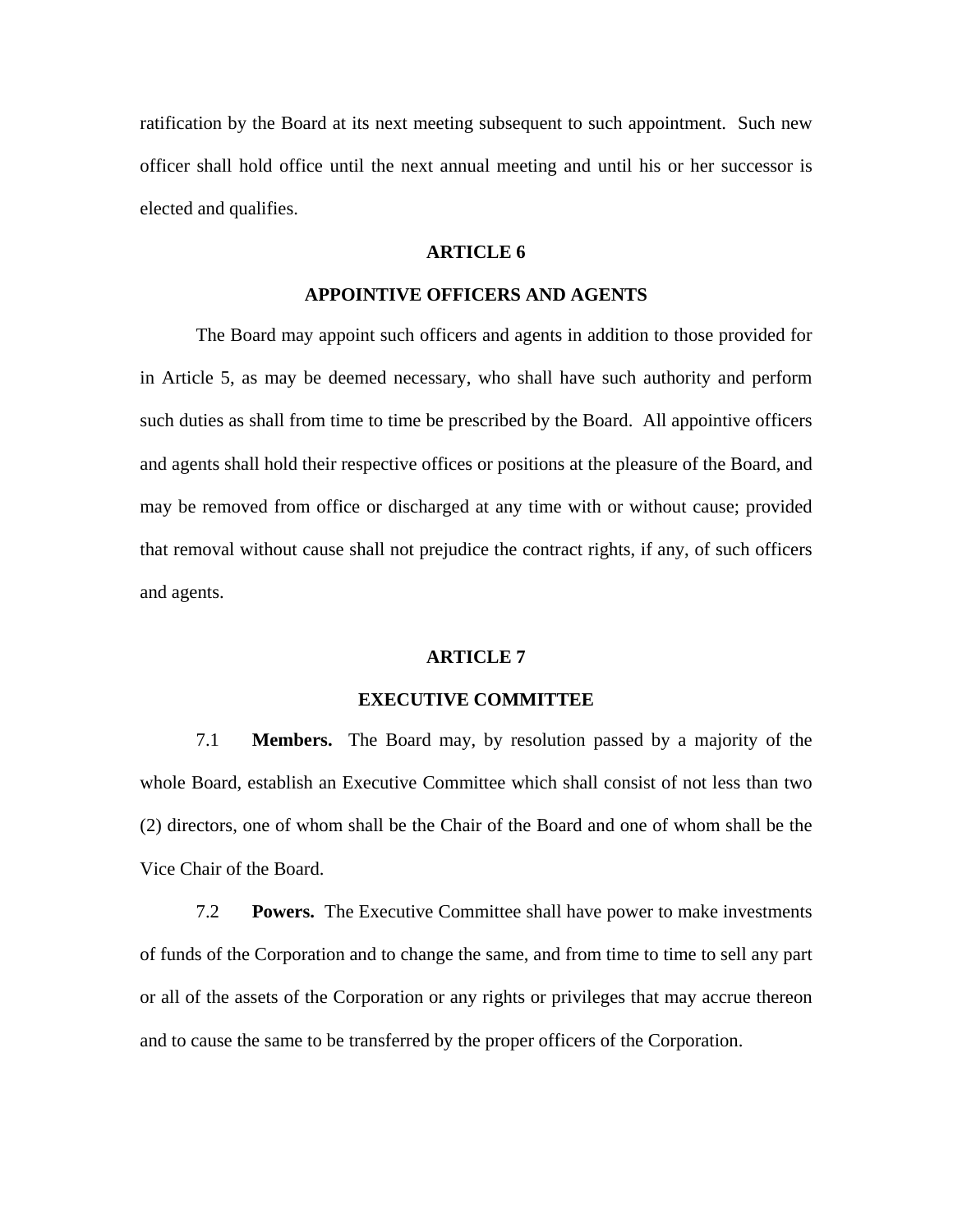ratification by the Board at its next meeting subsequent to such appointment. Such new officer shall hold office until the next annual meeting and until his or her successor is elected and qualifies.

## **ARTICLE 6**

# **APPOINTIVE OFFICERS AND AGENTS**

 The Board may appoint such officers and agents in addition to those provided for in Article 5, as may be deemed necessary, who shall have such authority and perform such duties as shall from time to time be prescribed by the Board. All appointive officers and agents shall hold their respective offices or positions at the pleasure of the Board, and may be removed from office or discharged at any time with or without cause; provided that removal without cause shall not prejudice the contract rights, if any, of such officers and agents.

#### **ARTICLE 7**

#### **EXECUTIVE COMMITTEE**

7.1 **Members.** The Board may, by resolution passed by a majority of the whole Board, establish an Executive Committee which shall consist of not less than two (2) directors, one of whom shall be the Chair of the Board and one of whom shall be the Vice Chair of the Board.

7.2 **Powers.** The Executive Committee shall have power to make investments of funds of the Corporation and to change the same, and from time to time to sell any part or all of the assets of the Corporation or any rights or privileges that may accrue thereon and to cause the same to be transferred by the proper officers of the Corporation.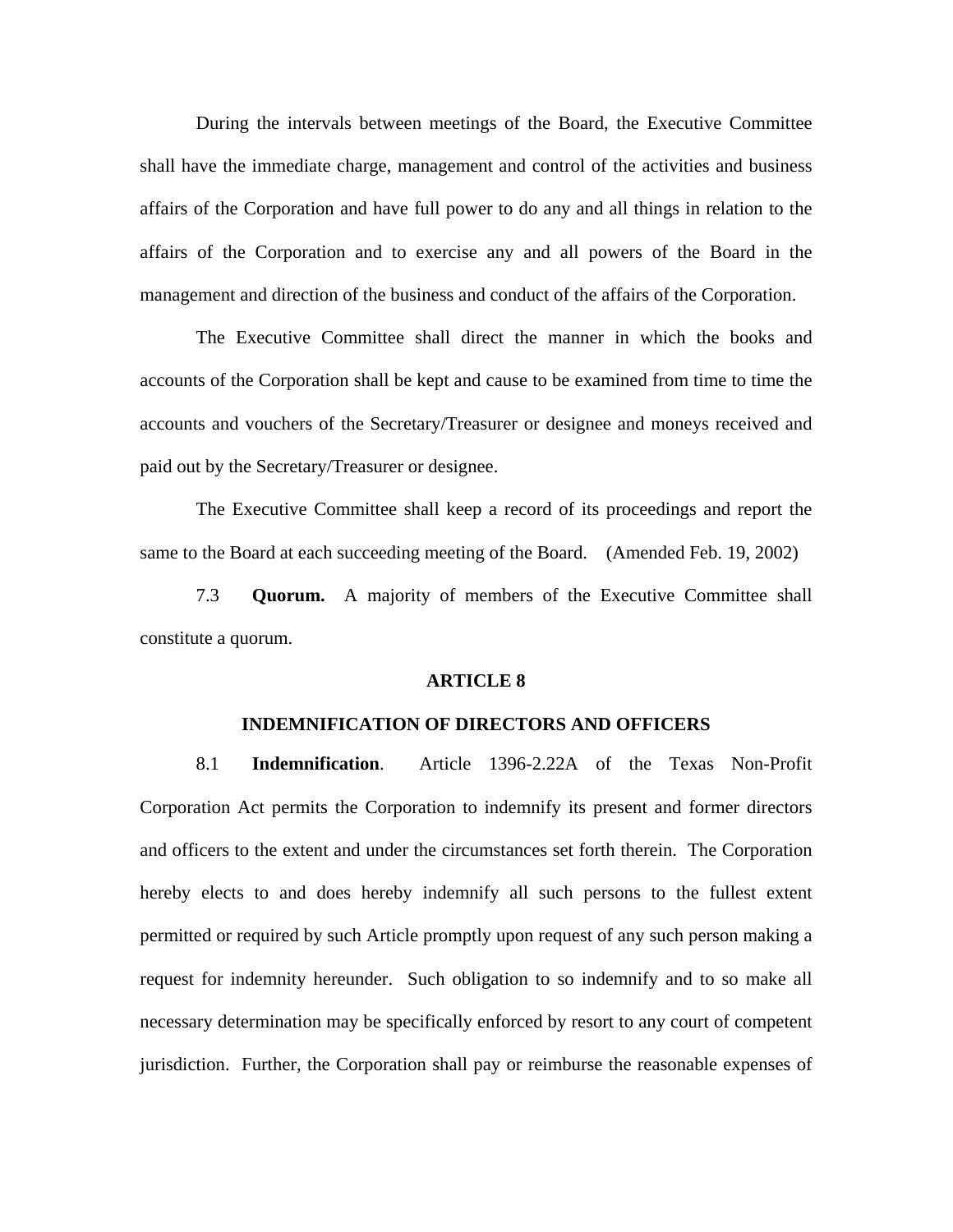During the intervals between meetings of the Board, the Executive Committee shall have the immediate charge, management and control of the activities and business affairs of the Corporation and have full power to do any and all things in relation to the affairs of the Corporation and to exercise any and all powers of the Board in the management and direction of the business and conduct of the affairs of the Corporation.

 The Executive Committee shall direct the manner in which the books and accounts of the Corporation shall be kept and cause to be examined from time to time the accounts and vouchers of the Secretary/Treasurer or designee and moneys received and paid out by the Secretary/Treasurer or designee.

 The Executive Committee shall keep a record of its proceedings and report the same to the Board at each succeeding meeting of the Board. (Amended Feb. 19, 2002)

7.3 **Quorum.** A majority of members of the Executive Committee shall constitute a quorum.

#### **ARTICLE 8**

#### **INDEMNIFICATION OF DIRECTORS AND OFFICERS**

8.1 **Indemnification**. Article 1396-2.22A of the Texas Non-Profit Corporation Act permits the Corporation to indemnify its present and former directors and officers to the extent and under the circumstances set forth therein. The Corporation hereby elects to and does hereby indemnify all such persons to the fullest extent permitted or required by such Article promptly upon request of any such person making a request for indemnity hereunder. Such obligation to so indemnify and to so make all necessary determination may be specifically enforced by resort to any court of competent jurisdiction. Further, the Corporation shall pay or reimburse the reasonable expenses of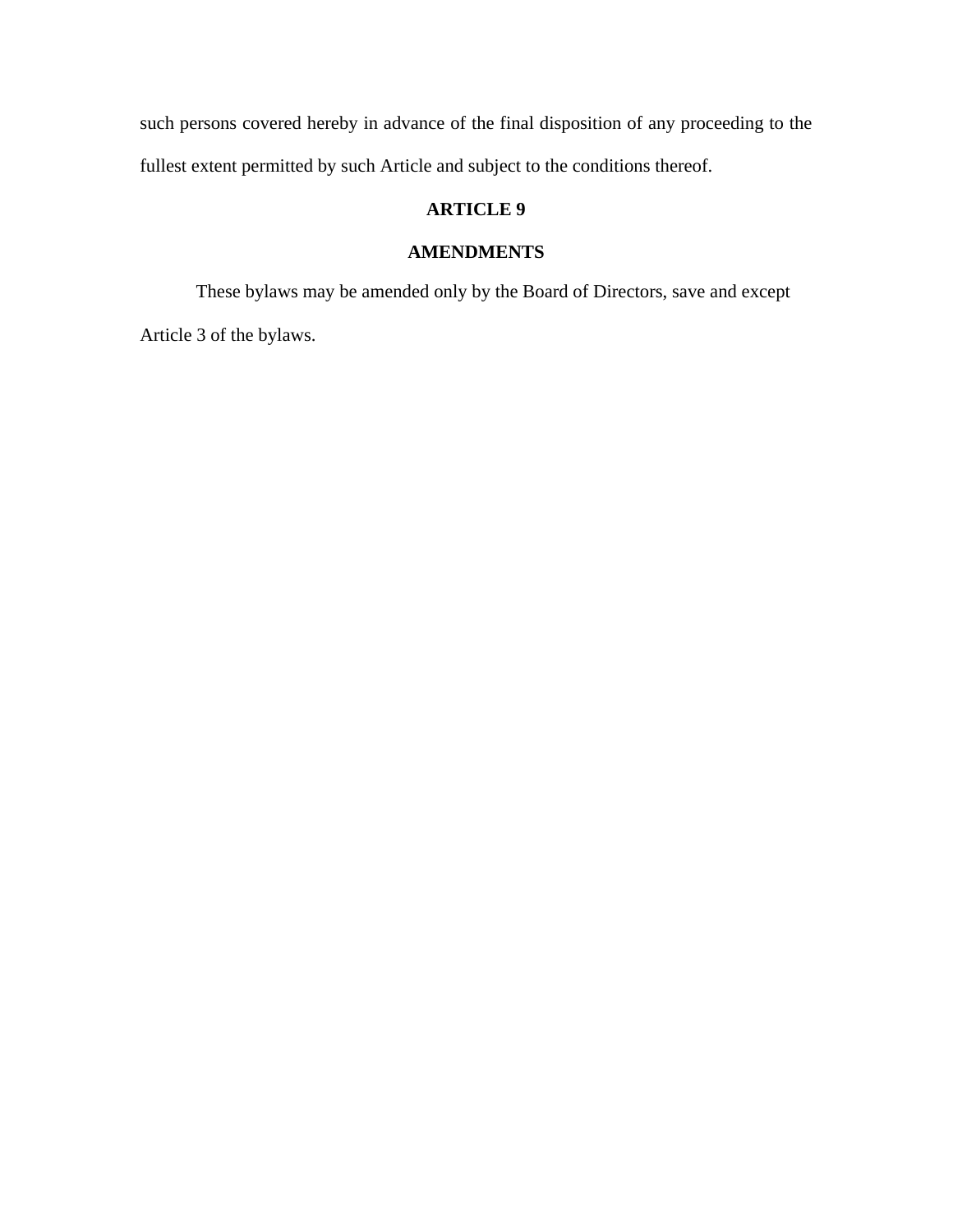such persons covered hereby in advance of the final disposition of any proceeding to the fullest extent permitted by such Article and subject to the conditions thereof.

# **ARTICLE 9**

# **AMENDMENTS**

 These bylaws may be amended only by the Board of Directors, save and except Article 3 of the bylaws.